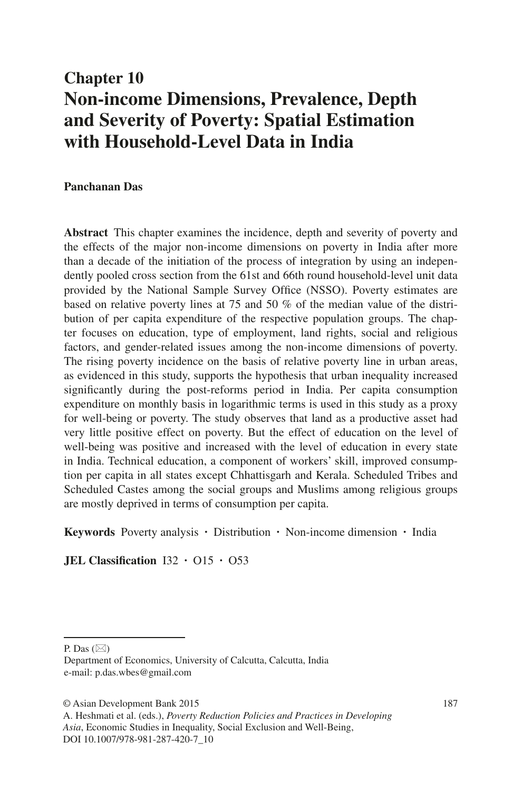# **Chapter 10 Non-income Dimensions, Prevalence, Depth and Severity of Poverty: Spatial Estimation with Household-Level Data in India**

#### **Panchanan Das**

**Abstract** This chapter examines the incidence, depth and severity of poverty and the effects of the major non-income dimensions on poverty in India after more than a decade of the initiation of the process of integration by using an independently pooled cross section from the 61st and 66th round household-level unit data provided by the National Sample Survey Office (NSSO). Poverty estimates are based on relative poverty lines at 75 and 50 % of the median value of the distribution of per capita expenditure of the respective population groups. The chapter focuses on education, type of employment, land rights, social and religious factors, and gender-related issues among the non-income dimensions of poverty. The rising poverty incidence on the basis of relative poverty line in urban areas, as evidenced in this study, supports the hypothesis that urban inequality increased significantly during the post-reforms period in India. Per capita consumption expenditure on monthly basis in logarithmic terms is used in this study as a proxy for well-being or poverty. The study observes that land as a productive asset had very little positive effect on poverty. But the effect of education on the level of well-being was positive and increased with the level of education in every state in India. Technical education, a component of workers' skill, improved consumption per capita in all states except Chhattisgarh and Kerala. Scheduled Tribes and Scheduled Castes among the social groups and Muslims among religious groups are mostly deprived in terms of consumption per capita.

**Keywords** Poverty analysis **·** Distribution **·** Non-income dimension **·** India

**JEL Classification** I32 **·** O15 **·** O53

© Asian Development Bank 2015

P. Das  $(\boxtimes)$ 

Department of Economics, University of Calcutta, Calcutta, India e-mail: p.das.wbes@gmail.com

A. Heshmati et al. (eds.), *Poverty Reduction Policies and Practices in Developing Asia*, Economic Studies in Inequality, Social Exclusion and Well-Being, DOI 10.1007/978-981-287-420-7\_10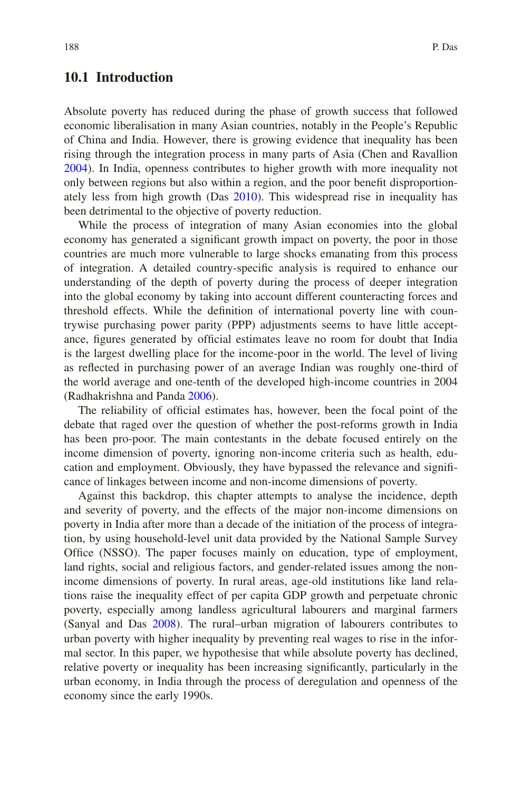# **10.1 Introduction**

Absolute poverty has reduced during the phase of growth success that followed economic liberalisation in many Asian countries, notably in the People's Republic of China and India. However, there is growing evidence that inequality has been rising through the integration process in many parts of Asia (Chen and Ravallion [2004\)](#page-16-0). In India, openness contributes to higher growth with more inequality not only between regions but also within a region, and the poor benefit disproportionately less from high growth (Das [2010\)](#page-16-1). This widespread rise in inequality has been detrimental to the objective of poverty reduction.

While the process of integration of many Asian economies into the global economy has generated a significant growth impact on poverty, the poor in those countries are much more vulnerable to large shocks emanating from this process of integration. A detailed country-specific analysis is required to enhance our understanding of the depth of poverty during the process of deeper integration into the global economy by taking into account different counteracting forces and threshold effects. While the definition of international poverty line with countrywise purchasing power parity (PPP) adjustments seems to have little acceptance, figures generated by official estimates leave no room for doubt that India is the largest dwelling place for the income-poor in the world. The level of living as reflected in purchasing power of an average Indian was roughly one-third of the world average and one-tenth of the developed high-income countries in 2004 (Radhakrishna and Panda [2006](#page-16-2)).

The reliability of official estimates has, however, been the focal point of the debate that raged over the question of whether the post-reforms growth in India has been pro-poor. The main contestants in the debate focused entirely on the income dimension of poverty, ignoring non-income criteria such as health, education and employment. Obviously, they have bypassed the relevance and significance of linkages between income and non-income dimensions of poverty.

Against this backdrop, this chapter attempts to analyse the incidence, depth and severity of poverty, and the effects of the major non-income dimensions on poverty in India after more than a decade of the initiation of the process of integration, by using household-level unit data provided by the National Sample Survey Office (NSSO). The paper focuses mainly on education, type of employment, land rights, social and religious factors, and gender-related issues among the nonincome dimensions of poverty. In rural areas, age-old institutions like land relations raise the inequality effect of per capita GDP growth and perpetuate chronic poverty, especially among landless agricultural labourers and marginal farmers (Sanyal and Das [2008](#page-16-3)). The rural–urban migration of labourers contributes to urban poverty with higher inequality by preventing real wages to rise in the informal sector. In this paper, we hypothesise that while absolute poverty has declined, relative poverty or inequality has been increasing significantly, particularly in the urban economy, in India through the process of deregulation and openness of the economy since the early 1990s.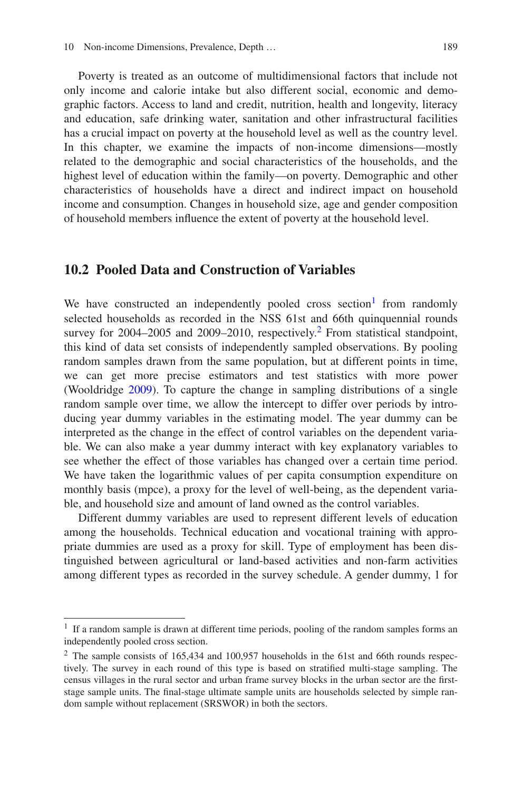Poverty is treated as an outcome of multidimensional factors that include not only income and calorie intake but also different social, economic and demographic factors. Access to land and credit, nutrition, health and longevity, literacy and education, safe drinking water, sanitation and other infrastructural facilities has a crucial impact on poverty at the household level as well as the country level. In this chapter, we examine the impacts of non-income dimensions—mostly related to the demographic and social characteristics of the households, and the highest level of education within the family—on poverty. Demographic and other characteristics of households have a direct and indirect impact on household income and consumption. Changes in household size, age and gender composition of household members influence the extent of poverty at the household level.

# **10.2 Pooled Data and Construction of Variables**

We have constructed an independently pooled cross section<sup>1</sup> from randomly selected households as recorded in the NSS 61st and 66th quinquennial rounds survey for 2004–2005 and 2009–2010, respectively.<sup>2</sup> From statistical standpoint, this kind of data set consists of independently sampled observations. By pooling random samples drawn from the same population, but at different points in time, we can get more precise estimators and test statistics with more power (Wooldridge [2009](#page-16-4)). To capture the change in sampling distributions of a single random sample over time, we allow the intercept to differ over periods by introducing year dummy variables in the estimating model. The year dummy can be interpreted as the change in the effect of control variables on the dependent variable. We can also make a year dummy interact with key explanatory variables to see whether the effect of those variables has changed over a certain time period. We have taken the logarithmic values of per capita consumption expenditure on monthly basis (mpce), a proxy for the level of well-being, as the dependent variable, and household size and amount of land owned as the control variables.

Different dummy variables are used to represent different levels of education among the households. Technical education and vocational training with appropriate dummies are used as a proxy for skill. Type of employment has been distinguished between agricultural or land-based activities and non-farm activities among different types as recorded in the survey schedule. A gender dummy, 1 for

<span id="page-2-0"></span><sup>&</sup>lt;sup>1</sup> If a random sample is drawn at different time periods, pooling of the random samples forms an independently pooled cross section.

<span id="page-2-1"></span><sup>2</sup> The sample consists of 165,434 and 100,957 households in the 61st and 66th rounds respectively. The survey in each round of this type is based on stratified multi-stage sampling. The census villages in the rural sector and urban frame survey blocks in the urban sector are the firststage sample units. The final-stage ultimate sample units are households selected by simple random sample without replacement (SRSWOR) in both the sectors.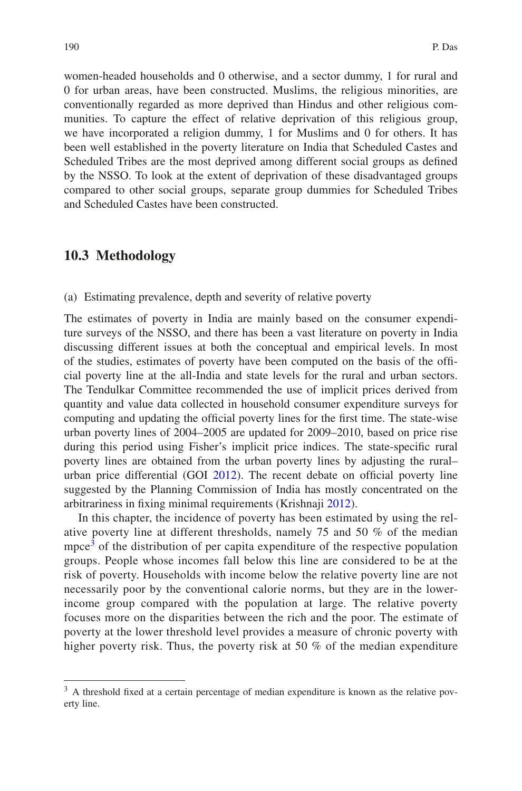women-headed households and 0 otherwise, and a sector dummy, 1 for rural and 0 for urban areas, have been constructed. Muslims, the religious minorities, are conventionally regarded as more deprived than Hindus and other religious communities. To capture the effect of relative deprivation of this religious group, we have incorporated a religion dummy, 1 for Muslims and 0 for others. It has been well established in the poverty literature on India that Scheduled Castes and Scheduled Tribes are the most deprived among different social groups as defined by the NSSO. To look at the extent of deprivation of these disadvantaged groups compared to other social groups, separate group dummies for Scheduled Tribes and Scheduled Castes have been constructed.

### **10.3 Methodology**

(a) Estimating prevalence, depth and severity of relative poverty

The estimates of poverty in India are mainly based on the consumer expenditure surveys of the NSSO, and there has been a vast literature on poverty in India discussing different issues at both the conceptual and empirical levels. In most of the studies, estimates of poverty have been computed on the basis of the official poverty line at the all-India and state levels for the rural and urban sectors. The Tendulkar Committee recommended the use of implicit prices derived from quantity and value data collected in household consumer expenditure surveys for computing and updating the official poverty lines for the first time. The state-wise urban poverty lines of 2004–2005 are updated for 2009–2010, based on price rise during this period using Fisher's implicit price indices. The state-specific rural poverty lines are obtained from the urban poverty lines by adjusting the rural– urban price differential (GOI [2012](#page-16-5)). The recent debate on official poverty line suggested by the Planning Commission of India has mostly concentrated on the arbitrariness in fixing minimal requirements (Krishnaji [2012\)](#page-16-6).

In this chapter, the incidence of poverty has been estimated by using the relative poverty line at different thresholds, namely 75 and 50 % of the median mpce<sup>[3](#page-3-0)</sup> of the distribution of per capita expenditure of the respective population groups. People whose incomes fall below this line are considered to be at the risk of poverty. Households with income below the relative poverty line are not necessarily poor by the conventional calorie norms, but they are in the lowerincome group compared with the population at large. The relative poverty focuses more on the disparities between the rich and the poor. The estimate of poverty at the lower threshold level provides a measure of chronic poverty with higher poverty risk. Thus, the poverty risk at 50 % of the median expenditure

<span id="page-3-0"></span><sup>&</sup>lt;sup>3</sup> A threshold fixed at a certain percentage of median expenditure is known as the relative poverty line.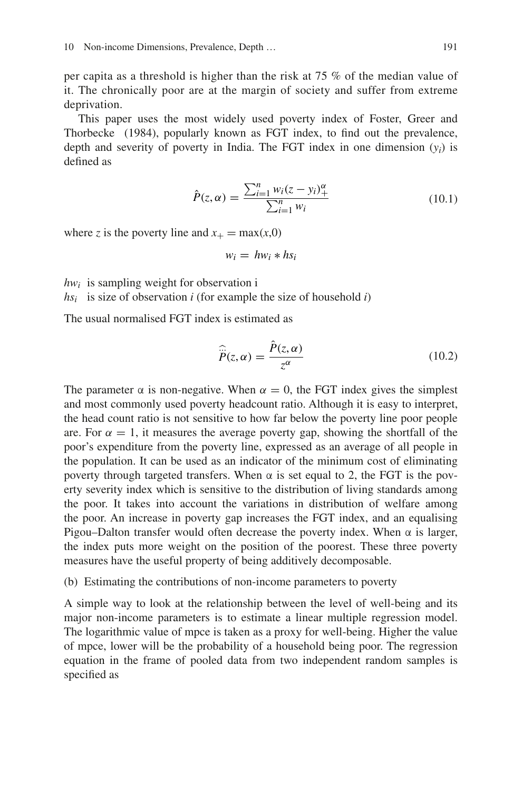per capita as a threshold is higher than the risk at 75 % of the median value of it. The chronically poor are at the margin of society and suffer from extreme deprivation.

This paper uses the most widely used poverty index of Foster, Greer and Thorbecke (1984), popularly known as FGT index, to find out the prevalence, depth and severity of poverty in India. The FGT index in one dimension (*yi*) is defined as

$$
\hat{P}(z,\alpha) = \frac{\sum_{i=1}^{n} w_i (z - y_i)_+^{\alpha}}{\sum_{i=1}^{n} w_i}
$$
\n(10.1)

where *z* is the poverty line and  $x_+ = \max(x,0)$ 

$$
w_i = hw_i * hs_i
$$

*hwi* is sampling weight for observation i

 $h_{i}$  is size of observation *i* (for example the size of household *i*)

The usual normalised FGT index is estimated as

$$
\widehat{\ddot{P}}(z,\alpha) = \frac{\widehat{P}(z,\alpha)}{z^{\alpha}}
$$
\n(10.2)

The parameter  $\alpha$  is non-negative. When  $\alpha = 0$ , the FGT index gives the simplest and most commonly used poverty headcount ratio. Although it is easy to interpret, the head count ratio is not sensitive to how far below the poverty line poor people are. For  $\alpha = 1$ , it measures the average poverty gap, showing the shortfall of the poor's expenditure from the poverty line, expressed as an average of all people in the population. It can be used as an indicator of the minimum cost of eliminating poverty through targeted transfers. When  $\alpha$  is set equal to 2, the FGT is the poverty severity index which is sensitive to the distribution of living standards among the poor. It takes into account the variations in distribution of welfare among the poor. An increase in poverty gap increases the FGT index, and an equalising Pigou–Dalton transfer would often decrease the poverty index. When  $\alpha$  is larger, the index puts more weight on the position of the poorest. These three poverty measures have the useful property of being additively decomposable.

#### (b) Estimating the contributions of non-income parameters to poverty

A simple way to look at the relationship between the level of well-being and its major non-income parameters is to estimate a linear multiple regression model. The logarithmic value of mpce is taken as a proxy for well-being. Higher the value of mpce, lower will be the probability of a household being poor. The regression equation in the frame of pooled data from two independent random samples is specified as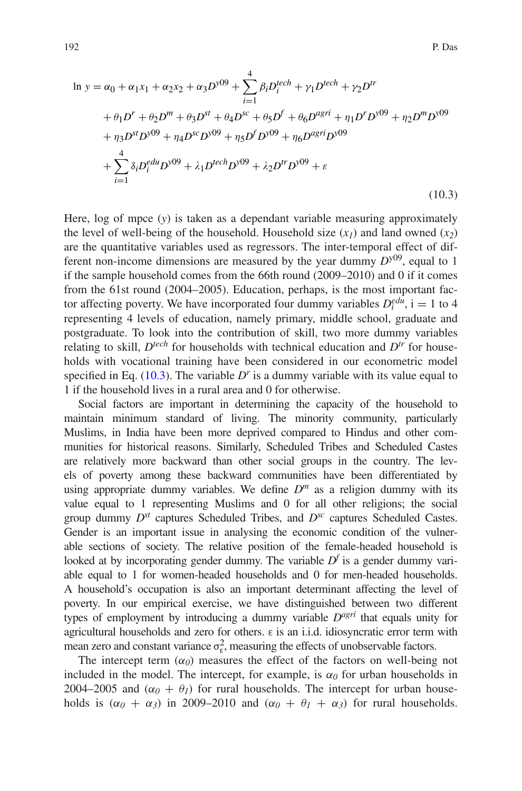$$
\ln y = \alpha_0 + \alpha_1 x_1 + \alpha_2 x_2 + \alpha_3 D^{y09} + \sum_{i=1}^4 \beta_i D_i^{tech} + \gamma_1 D^{tech} + \gamma_2 D^{tr}
$$
  
+  $\theta_1 D^r + \theta_2 D^m + \theta_3 D^{st} + \theta_4 D^{sc} + \theta_5 D^f + \theta_6 D^{agri} + \eta_1 D^r D^{y09} + \eta_2 D^m D^{y09}$   
+  $\eta_3 D^{st} D^{y09} + \eta_4 D^{sc} D^{y09} + \eta_5 D^f D^{y09} + \eta_6 D^{agri} D^{y09}$   
+  $\sum_{i=1}^4 \delta_i D_i^{edu} D^{y09} + \lambda_1 D^{tech} D^{y09} + \lambda_2 D^t D^{y09} + \varepsilon$  (10.3)

<span id="page-5-0"></span>Here, log of mpce (*y*) is taken as a dependant variable measuring approximately the level of well-being of the household. Household size  $(x_1)$  and land owned  $(x_2)$ are the quantitative variables used as regressors. The inter-temporal effect of different non-income dimensions are measured by the year dummy  $D<sup>y09</sup>$ , equal to 1 if the sample household comes from the 66th round (2009–2010) and 0 if it comes from the 61st round (2004–2005). Education, perhaps, is the most important factor affecting poverty. We have incorporated four dummy variables  $D_i^{edu}$ , i = 1 to 4 representing 4 levels of education, namely primary, middle school, graduate and postgraduate. To look into the contribution of skill, two more dummy variables relating to skill,  $D^{tech}$  for households with technical education and  $D^{tr}$  for households with vocational training have been considered in our econometric model specified in Eq.  $(10.3)$  $(10.3)$  $(10.3)$ . The variable  $D<sup>r</sup>$  is a dummy variable with its value equal to 1 if the household lives in a rural area and 0 for otherwise.

Social factors are important in determining the capacity of the household to maintain minimum standard of living. The minority community, particularly Muslims, in India have been more deprived compared to Hindus and other communities for historical reasons. Similarly, Scheduled Tribes and Scheduled Castes are relatively more backward than other social groups in the country. The levels of poverty among these backward communities have been differentiated by using appropriate dummy variables. We define  $D<sup>m</sup>$  as a religion dummy with its value equal to 1 representing Muslims and 0 for all other religions; the social group dummy *Dst* captures Scheduled Tribes, and *Dsc* captures Scheduled Castes. Gender is an important issue in analysing the economic condition of the vulnerable sections of society. The relative position of the female-headed household is looked at by incorporating gender dummy. The variable  $D<sup>f</sup>$  is a gender dummy variable equal to 1 for women-headed households and 0 for men-headed households. A household's occupation is also an important determinant affecting the level of poverty. In our empirical exercise, we have distinguished between two different types of employment by introducing a dummy variable  $D<sup>agri</sup>$  that equals unity for agricultural households and zero for others. ε is an i.i.d. idiosyncratic error term with mean zero and constant variance  $\sigma_{\epsilon}^2$ , measuring the effects of unobservable factors.

The intercept term  $(\alpha_0)$  measures the effect of the factors on well-being not included in the model. The intercept, for example, is  $\alpha_0$  for urban households in 2004–2005 and  $(\alpha_0 + \theta_1)$  for rural households. The intercept for urban households is  $(\alpha_0 + \alpha_3)$  in 2009–2010 and  $(\alpha_0 + \theta_1 + \alpha_3)$  for rural households.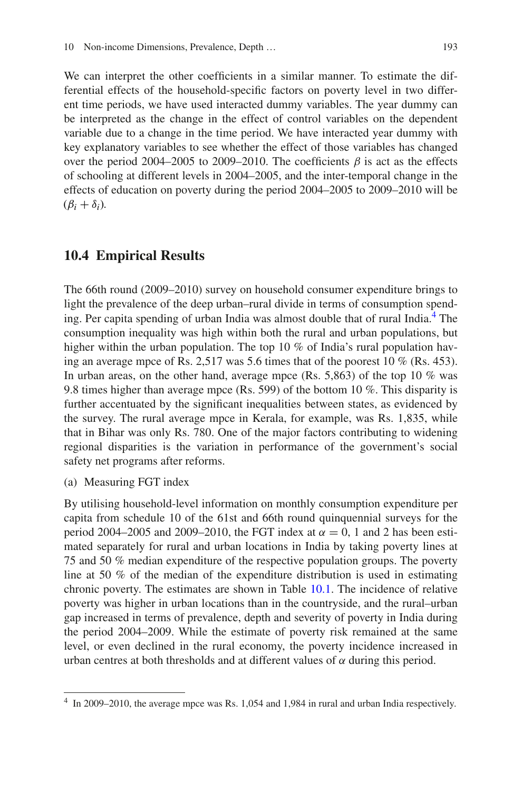We can interpret the other coefficients in a similar manner. To estimate the differential effects of the household-specific factors on poverty level in two different time periods, we have used interacted dummy variables. The year dummy can be interpreted as the change in the effect of control variables on the dependent variable due to a change in the time period. We have interacted year dummy with key explanatory variables to see whether the effect of those variables has changed over the period 2004–2005 to 2009–2010. The coefficients  $\beta$  is act as the effects of schooling at different levels in 2004–2005, and the inter-temporal change in the effects of education on poverty during the period 2004–2005 to 2009–2010 will be  $(\beta_i + \delta_i)$ .

# **10.4 Empirical Results**

The 66th round (2009–2010) survey on household consumer expenditure brings to light the prevalence of the deep urban–rural divide in terms of consumption spend-ing. Per capita spending of urban India was almost double that of rural India.<sup>[4](#page-6-0)</sup> The consumption inequality was high within both the rural and urban populations, but higher within the urban population. The top 10 % of India's rural population having an average mpce of Rs. 2,517 was 5.6 times that of the poorest 10  $\%$  (Rs. 453). In urban areas, on the other hand, average mpce (Rs. 5,863) of the top 10 % was 9.8 times higher than average mpce (Rs. 599) of the bottom 10 %. This disparity is further accentuated by the significant inequalities between states, as evidenced by the survey. The rural average mpce in Kerala, for example, was Rs. 1,835, while that in Bihar was only Rs. 780. One of the major factors contributing to widening regional disparities is the variation in performance of the government's social safety net programs after reforms.

(a) Measuring FGT index

By utilising household-level information on monthly consumption expenditure per capita from schedule 10 of the 61st and 66th round quinquennial surveys for the period 2004–2005 and 2009–2010, the FGT index at  $\alpha = 0$ , 1 and 2 has been estimated separately for rural and urban locations in India by taking poverty lines at 75 and 50 % median expenditure of the respective population groups. The poverty line at 50 % of the median of the expenditure distribution is used in estimating chronic poverty. The estimates are shown in Table [10.1.](#page-7-0) The incidence of relative poverty was higher in urban locations than in the countryside, and the rural–urban gap increased in terms of prevalence, depth and severity of poverty in India during the period 2004–2009. While the estimate of poverty risk remained at the same level, or even declined in the rural economy, the poverty incidence increased in urban centres at both thresholds and at different values of *α* during this period.

<span id="page-6-0"></span><sup>4</sup> In 2009–2010, the average mpce was Rs. 1,054 and 1,984 in rural and urban India respectively.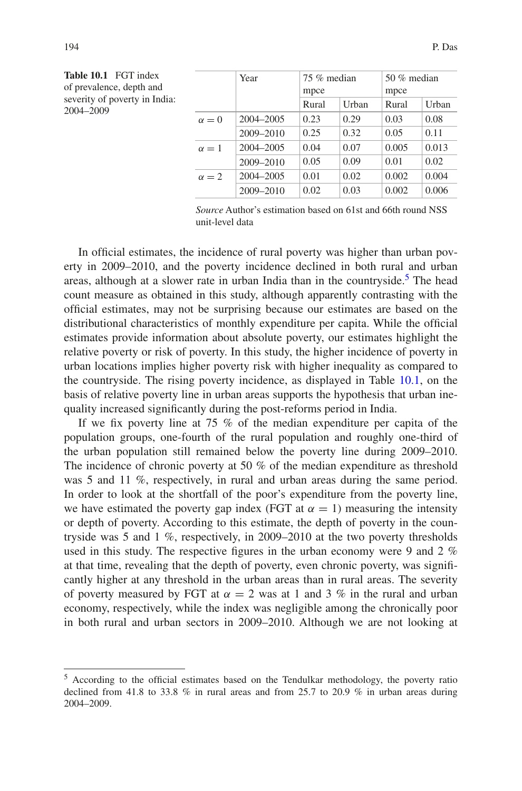<span id="page-7-0"></span>

|              | Year      |       |       | 50 % median |       |  |  |
|--------------|-----------|-------|-------|-------------|-------|--|--|
|              |           | Rural | Urban | Rural       | Urban |  |  |
| $\alpha = 0$ | 2004-2005 | 0.23  | 0.29  | 0.03        | 0.08  |  |  |
|              | 2009-2010 | 0.25  | 0.32  | 0.05        | 0.11  |  |  |
| $\alpha=1$   | 2004-2005 | 0.04  | 0.07  | 0.005       | 0.013 |  |  |
|              | 2009-2010 | 0.05  | 0.09  | 0.01        | 0.02  |  |  |
| $\alpha = 2$ | 2004-2005 | 0.01  | 0.02  | 0.002       | 0.004 |  |  |
|              | 2009-2010 | 0.02  | 0.03  | 0.002       | 0.006 |  |  |
|              |           |       | mpce  | 75 % median | mpce  |  |  |

*Source* Author's estimation based on 61st and 66th round NSS unit-level data

In official estimates, the incidence of rural poverty was higher than urban poverty in 2009–2010, and the poverty incidence declined in both rural and urban areas, although at a slower rate in urban India than in the countryside.<sup>5</sup> The head count measure as obtained in this study, although apparently contrasting with the official estimates, may not be surprising because our estimates are based on the distributional characteristics of monthly expenditure per capita. While the official estimates provide information about absolute poverty, our estimates highlight the relative poverty or risk of poverty. In this study, the higher incidence of poverty in urban locations implies higher poverty risk with higher inequality as compared to the countryside. The rising poverty incidence, as displayed in Table [10.1,](#page-7-0) on the basis of relative poverty line in urban areas supports the hypothesis that urban inequality increased significantly during the post-reforms period in India.

If we fix poverty line at 75 % of the median expenditure per capita of the population groups, one-fourth of the rural population and roughly one-third of the urban population still remained below the poverty line during 2009–2010. The incidence of chronic poverty at 50 % of the median expenditure as threshold was 5 and 11 %, respectively, in rural and urban areas during the same period. In order to look at the shortfall of the poor's expenditure from the poverty line, we have estimated the poverty gap index (FGT at  $\alpha = 1$ ) measuring the intensity or depth of poverty. According to this estimate, the depth of poverty in the countryside was 5 and 1 %, respectively, in 2009–2010 at the two poverty thresholds used in this study. The respective figures in the urban economy were 9 and 2 % at that time, revealing that the depth of poverty, even chronic poverty, was significantly higher at any threshold in the urban areas than in rural areas. The severity of poverty measured by FGT at  $\alpha = 2$  was at 1 and 3 % in the rural and urban economy, respectively, while the index was negligible among the chronically poor in both rural and urban sectors in 2009–2010. Although we are not looking at

<span id="page-7-1"></span><sup>5</sup> According to the official estimates based on the Tendulkar methodology, the poverty ratio declined from 41.8 to 33.8 % in rural areas and from 25.7 to 20.9 % in urban areas during 2004–2009.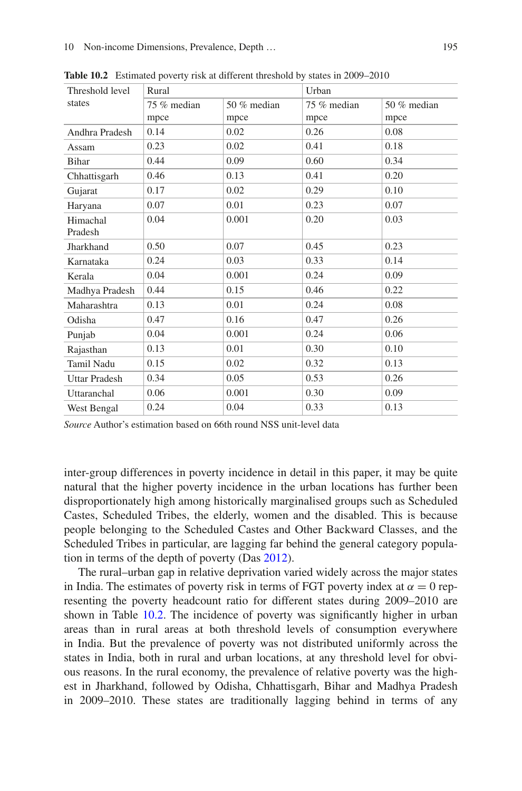| Threshold level      | Rural                        |       | Urban       |             |  |  |  |  |
|----------------------|------------------------------|-------|-------------|-------------|--|--|--|--|
| states               | 75 % median<br>50 $%$ median |       | 75 % median | 50 % median |  |  |  |  |
|                      | mpce                         | mpce  | mpce        | mpce        |  |  |  |  |
| Andhra Pradesh       | 0.14                         | 0.02  | 0.26        | 0.08        |  |  |  |  |
| Assam                | 0.23                         | 0.02  | 0.41        | 0.18        |  |  |  |  |
| Bihar                | 0.44                         | 0.09  | 0.60        | 0.34        |  |  |  |  |
| Chhattisgarh         | 0.46                         | 0.13  | 0.41        | 0.20        |  |  |  |  |
| Gujarat              | 0.17                         | 0.02  | 0.29        | 0.10        |  |  |  |  |
| Haryana              | 0.07                         | 0.01  | 0.23        | 0.07        |  |  |  |  |
| Himachal             | 0.04                         | 0.001 | 0.20        | 0.03        |  |  |  |  |
| Pradesh              |                              |       |             |             |  |  |  |  |
| Jharkhand            | 0.50                         | 0.07  | 0.45        | 0.23        |  |  |  |  |
| Karnataka            | 0.24                         | 0.03  | 0.33        | 0.14        |  |  |  |  |
| Kerala               | 0.04                         | 0.001 | 0.24        | 0.09        |  |  |  |  |
| Madhya Pradesh       | 0.44                         | 0.15  | 0.46        | 0.22        |  |  |  |  |
| Maharashtra          | 0.13                         | 0.01  | 0.24        | 0.08        |  |  |  |  |
| Odisha               | 0.47                         | 0.16  | 0.47        | 0.26        |  |  |  |  |
| Punjab               | 0.04                         | 0.001 | 0.24        | 0.06        |  |  |  |  |
| Rajasthan            | 0.13                         | 0.01  | 0.30        | 0.10        |  |  |  |  |
| Tamil Nadu           | 0.15                         | 0.02  | 0.32        | 0.13        |  |  |  |  |
| <b>Uttar Pradesh</b> | 0.34                         | 0.05  | 0.53        | 0.26        |  |  |  |  |
| Uttaranchal          | 0.06                         | 0.001 | 0.30        | 0.09        |  |  |  |  |
| West Bengal          | 0.24                         | 0.04  | 0.33        | 0.13        |  |  |  |  |

<span id="page-8-0"></span>**Table 10.2** Estimated poverty risk at different threshold by states in 2009–2010

*Source* Author's estimation based on 66th round NSS unit-level data

inter-group differences in poverty incidence in detail in this paper, it may be quite natural that the higher poverty incidence in the urban locations has further been disproportionately high among historically marginalised groups such as Scheduled Castes, Scheduled Tribes, the elderly, women and the disabled. This is because people belonging to the Scheduled Castes and Other Backward Classes, and the Scheduled Tribes in particular, are lagging far behind the general category population in terms of the depth of poverty (Das [2012](#page-16-7)).

The rural–urban gap in relative deprivation varied widely across the major states in India. The estimates of poverty risk in terms of FGT poverty index at  $\alpha = 0$  representing the poverty headcount ratio for different states during 2009–2010 are shown in Table [10.2.](#page-8-0) The incidence of poverty was significantly higher in urban areas than in rural areas at both threshold levels of consumption everywhere in India. But the prevalence of poverty was not distributed uniformly across the states in India, both in rural and urban locations, at any threshold level for obvious reasons. In the rural economy, the prevalence of relative poverty was the highest in Jharkhand, followed by Odisha, Chhattisgarh, Bihar and Madhya Pradesh in 2009–2010. These states are traditionally lagging behind in terms of any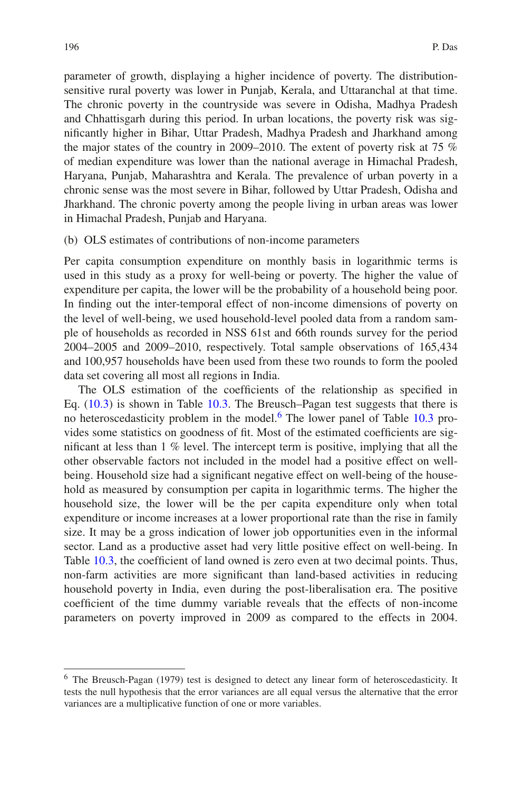parameter of growth, displaying a higher incidence of poverty. The distributionsensitive rural poverty was lower in Punjab, Kerala, and Uttaranchal at that time. The chronic poverty in the countryside was severe in Odisha, Madhya Pradesh and Chhattisgarh during this period. In urban locations, the poverty risk was significantly higher in Bihar, Uttar Pradesh, Madhya Pradesh and Jharkhand among the major states of the country in 2009–2010. The extent of poverty risk at 75 % of median expenditure was lower than the national average in Himachal Pradesh, Haryana, Punjab, Maharashtra and Kerala. The prevalence of urban poverty in a chronic sense was the most severe in Bihar, followed by Uttar Pradesh, Odisha and Jharkhand. The chronic poverty among the people living in urban areas was lower in Himachal Pradesh, Punjab and Haryana.

#### (b) OLS estimates of contributions of non-income parameters

Per capita consumption expenditure on monthly basis in logarithmic terms is used in this study as a proxy for well-being or poverty. The higher the value of expenditure per capita, the lower will be the probability of a household being poor. In finding out the inter-temporal effect of non-income dimensions of poverty on the level of well-being, we used household-level pooled data from a random sample of households as recorded in NSS 61st and 66th rounds survey for the period 2004–2005 and 2009–2010, respectively. Total sample observations of 165,434 and 100,957 households have been used from these two rounds to form the pooled data set covering all most all regions in India.

The OLS estimation of the coefficients of the relationship as specified in Eq. [\(10.3\)](#page-5-0) is shown in Table [10.3.](#page-10-0) The Breusch–Pagan test suggests that there is no heteroscedasticity problem in the model.<sup>[6](#page-9-0)</sup> The lower panel of Table [10.3](#page-10-0) provides some statistics on goodness of fit. Most of the estimated coefficients are significant at less than 1 % level. The intercept term is positive, implying that all the other observable factors not included in the model had a positive effect on wellbeing. Household size had a significant negative effect on well-being of the household as measured by consumption per capita in logarithmic terms. The higher the household size, the lower will be the per capita expenditure only when total expenditure or income increases at a lower proportional rate than the rise in family size. It may be a gross indication of lower job opportunities even in the informal sector. Land as a productive asset had very little positive effect on well-being. In Table [10.3](#page-10-0), the coefficient of land owned is zero even at two decimal points. Thus, non-farm activities are more significant than land-based activities in reducing household poverty in India, even during the post-liberalisation era. The positive coefficient of the time dummy variable reveals that the effects of non-income parameters on poverty improved in 2009 as compared to the effects in 2004.

<span id="page-9-0"></span><sup>6</sup> The Breusch-Pagan (1979) test is designed to detect any linear form of heteroscedasticity. It tests the null hypothesis that the error variances are all equal versus the alternative that the error variances are a multiplicative function of one or more variables.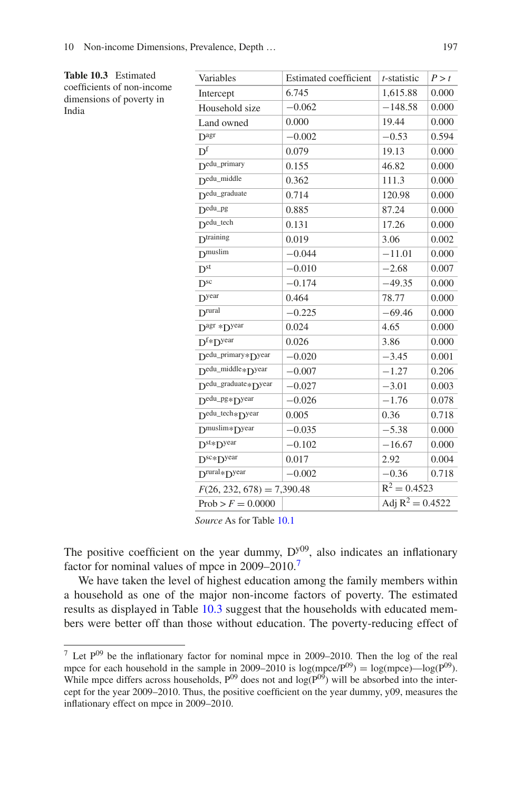| Variables                    | <b>Estimated</b> coefficient | t-statistic        | P > t |  |  |  |
|------------------------------|------------------------------|--------------------|-------|--|--|--|
| Intercept                    | 6.745                        | 1.615.88           | 0.000 |  |  |  |
| Household size               | $-0.062$                     | $-148.58$          | 0.000 |  |  |  |
| Land owned                   | 0.000                        | 19.44              | 0.000 |  |  |  |
| D <sup>agr</sup>             | $-0.002$                     | $-0.53$            | 0.594 |  |  |  |
| $D^f$                        | 0.079                        | 19.13              | 0.000 |  |  |  |
| Dedu_primary                 | 0.155                        | 46.82              | 0.000 |  |  |  |
| Dedu_middle                  | 0.362                        | 111.3              | 0.000 |  |  |  |
| Dedu_graduate                | 0.714                        | 120.98             | 0.000 |  |  |  |
| $D$ edu_pg                   | 0.885                        | 87.24              | 0.000 |  |  |  |
| $D$ edu_tech                 | 0.131                        | 17.26              | 0.000 |  |  |  |
| D <sup>training</sup>        | 0.019                        | 3.06               | 0.002 |  |  |  |
| $D$ <sup>muslim</sup>        | $-0.044$                     | $-11.01$           | 0.000 |  |  |  |
| D <sup>st</sup>              | $-0.010$                     | $-2.68$            | 0.007 |  |  |  |
| D <sup>sc</sup>              | $-0.174$                     | $-49.35$           | 0.000 |  |  |  |
| Dyear                        | 0.464                        | 78.77              | 0.000 |  |  |  |
| D <sup>rural</sup>           | $-0.225$                     | $-69.46$           | 0.000 |  |  |  |
| $Dagr * Dyear$               | 0.024                        | 4.65               | 0.000 |  |  |  |
| $D^{f*}D^{year}$             | 0.026                        | 3.86               | 0.000 |  |  |  |
| Dedu_primary*Dyear           | $-0.020$                     | $-3.45$            | 0.001 |  |  |  |
| Dedu_middle*Dyear            | $-0.007$                     | $-1.27$            | 0.206 |  |  |  |
| Dedu_graduate*Dyear          | $-0.027$                     | $-3.01$            | 0.003 |  |  |  |
| $D$ edu_pg* $D$ year         | $-0.026$                     | $-1.76$            | 0.078 |  |  |  |
| Dedu_tech*Dyear              | 0.005                        | 0.36               | 0.718 |  |  |  |
| Dmuslim*Dyear                | $-0.035$                     | $-5.38$            | 0.000 |  |  |  |
| $D^{st*}D^{year}$            | $-0.102$                     | $-16.67$           | 0.000 |  |  |  |
| $D^{sc*}D^{year}$            | 0.017                        | 2.92               | 0.004 |  |  |  |
| $D^{rural*}D^{year}$         | $-0.002$                     | $-0.36$            | 0.718 |  |  |  |
| $F(26, 232, 678) = 7,390.48$ | $R^2 = 0.4523$               |                    |       |  |  |  |
| $Prob > F = 0.0000$          |                              | Adj $R^2 = 0.4522$ |       |  |  |  |
|                              |                              |                    |       |  |  |  |

<span id="page-10-0"></span>**Table 10.3** Estimated coefficients of non-income dimensions of poverty in India

*Source* As for Table [10.1](#page-7-0)

The positive coefficient on the year dummy,  $D_{2}^{y09}$ , also indicates an inflationary factor for nominal values of mpce in 2009–2010.[7](#page-10-1)

We have taken the level of highest education among the family members within a household as one of the major non-income factors of poverty. The estimated results as displayed in Table [10.3](#page-10-0) suggest that the households with educated members were better off than those without education. The poverty-reducing effect of

<span id="page-10-1"></span><sup>&</sup>lt;sup>7</sup> Let  $P^{09}$  be the inflationary factor for nominal mpce in 2009–2010. Then the log of the real mpce for each household in the sample in 2009–2010 is  $log(mpce/P^{09}) = log(mpce) - log(P^{09})$ . While mpce differs across households,  $P^{09}$  does not and  $log(P^{09})$  will be absorbed into the intercept for the year 2009–2010. Thus, the positive coefficient on the year dummy, y09, measures the inflationary effect on mpce in 2009–2010.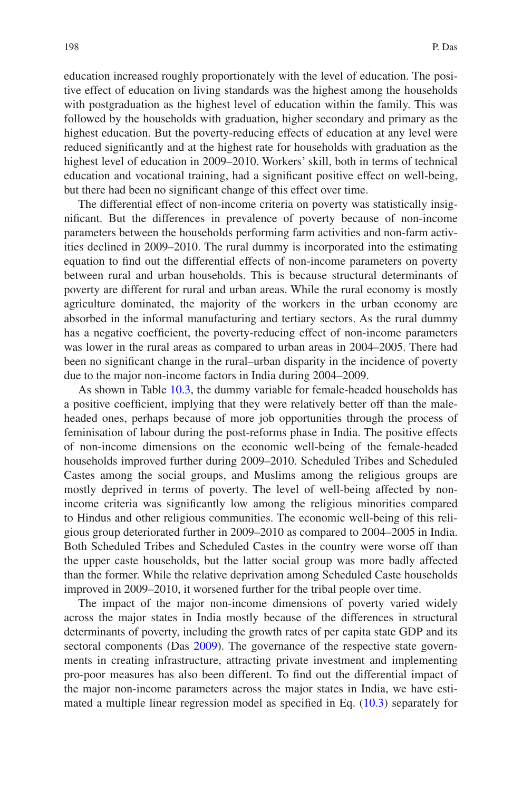education increased roughly proportionately with the level of education. The positive effect of education on living standards was the highest among the households with postgraduation as the highest level of education within the family. This was followed by the households with graduation, higher secondary and primary as the highest education. But the poverty-reducing effects of education at any level were reduced significantly and at the highest rate for households with graduation as the highest level of education in 2009–2010. Workers' skill, both in terms of technical education and vocational training, had a significant positive effect on well-being, but there had been no significant change of this effect over time.

The differential effect of non-income criteria on poverty was statistically insignificant. But the differences in prevalence of poverty because of non-income parameters between the households performing farm activities and non-farm activities declined in 2009–2010. The rural dummy is incorporated into the estimating equation to find out the differential effects of non-income parameters on poverty between rural and urban households. This is because structural determinants of poverty are different for rural and urban areas. While the rural economy is mostly agriculture dominated, the majority of the workers in the urban economy are absorbed in the informal manufacturing and tertiary sectors. As the rural dummy has a negative coefficient, the poverty-reducing effect of non-income parameters was lower in the rural areas as compared to urban areas in 2004–2005. There had been no significant change in the rural–urban disparity in the incidence of poverty due to the major non-income factors in India during 2004–2009.

As shown in Table [10.3,](#page-10-0) the dummy variable for female-headed households has a positive coefficient, implying that they were relatively better off than the maleheaded ones, perhaps because of more job opportunities through the process of feminisation of labour during the post-reforms phase in India. The positive effects of non-income dimensions on the economic well-being of the female-headed households improved further during 2009–2010. Scheduled Tribes and Scheduled Castes among the social groups, and Muslims among the religious groups are mostly deprived in terms of poverty. The level of well-being affected by nonincome criteria was significantly low among the religious minorities compared to Hindus and other religious communities. The economic well-being of this religious group deteriorated further in 2009–2010 as compared to 2004–2005 in India. Both Scheduled Tribes and Scheduled Castes in the country were worse off than the upper caste households, but the latter social group was more badly affected than the former. While the relative deprivation among Scheduled Caste households improved in 2009–2010, it worsened further for the tribal people over time.

The impact of the major non-income dimensions of poverty varied widely across the major states in India mostly because of the differences in structural determinants of poverty, including the growth rates of per capita state GDP and its sectoral components (Das [2009](#page-16-8)). The governance of the respective state governments in creating infrastructure, attracting private investment and implementing pro-poor measures has also been different. To find out the differential impact of the major non-income parameters across the major states in India, we have estimated a multiple linear regression model as specified in Eq. ([10.3](#page-5-0)) separately for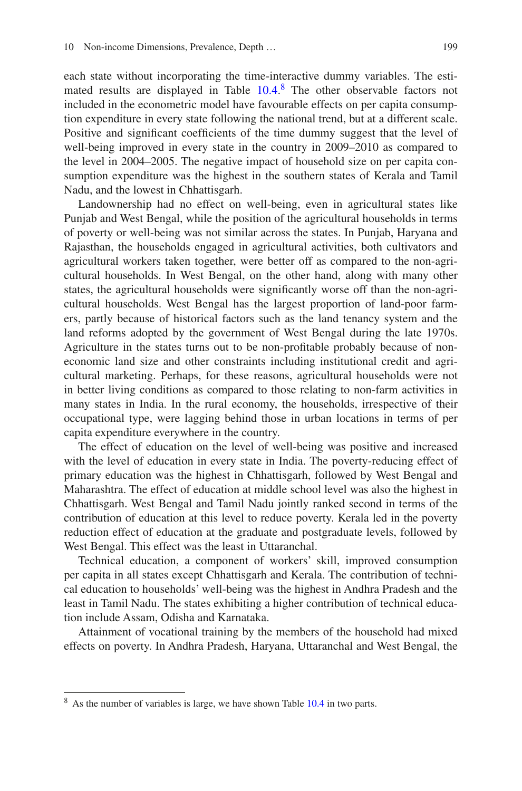each state without incorporating the time-interactive dummy variables. The esti-mated results are displayed in Table [10.4.](#page-13-0)<sup>[8](#page-12-0)</sup> The other observable factors not included in the econometric model have favourable effects on per capita consumption expenditure in every state following the national trend, but at a different scale. Positive and significant coefficients of the time dummy suggest that the level of well-being improved in every state in the country in 2009–2010 as compared to the level in 2004–2005. The negative impact of household size on per capita consumption expenditure was the highest in the southern states of Kerala and Tamil Nadu, and the lowest in Chhattisgarh.

Landownership had no effect on well-being, even in agricultural states like Punjab and West Bengal, while the position of the agricultural households in terms of poverty or well-being was not similar across the states. In Punjab, Haryana and Rajasthan, the households engaged in agricultural activities, both cultivators and agricultural workers taken together, were better off as compared to the non-agricultural households. In West Bengal, on the other hand, along with many other states, the agricultural households were significantly worse off than the non-agricultural households. West Bengal has the largest proportion of land-poor farmers, partly because of historical factors such as the land tenancy system and the land reforms adopted by the government of West Bengal during the late 1970s. Agriculture in the states turns out to be non-profitable probably because of noneconomic land size and other constraints including institutional credit and agricultural marketing. Perhaps, for these reasons, agricultural households were not in better living conditions as compared to those relating to non-farm activities in many states in India. In the rural economy, the households, irrespective of their occupational type, were lagging behind those in urban locations in terms of per capita expenditure everywhere in the country.

The effect of education on the level of well-being was positive and increased with the level of education in every state in India. The poverty-reducing effect of primary education was the highest in Chhattisgarh, followed by West Bengal and Maharashtra. The effect of education at middle school level was also the highest in Chhattisgarh. West Bengal and Tamil Nadu jointly ranked second in terms of the contribution of education at this level to reduce poverty. Kerala led in the poverty reduction effect of education at the graduate and postgraduate levels, followed by West Bengal. This effect was the least in Uttaranchal.

Technical education, a component of workers' skill, improved consumption per capita in all states except Chhattisgarh and Kerala. The contribution of technical education to households' well-being was the highest in Andhra Pradesh and the least in Tamil Nadu. The states exhibiting a higher contribution of technical education include Assam, Odisha and Karnataka.

Attainment of vocational training by the members of the household had mixed effects on poverty. In Andhra Pradesh, Haryana, Uttaranchal and West Bengal, the

<span id="page-12-0"></span><sup>&</sup>lt;sup>8</sup> As the number of variables is large, we have shown Table [10.4](#page-13-0) in two parts.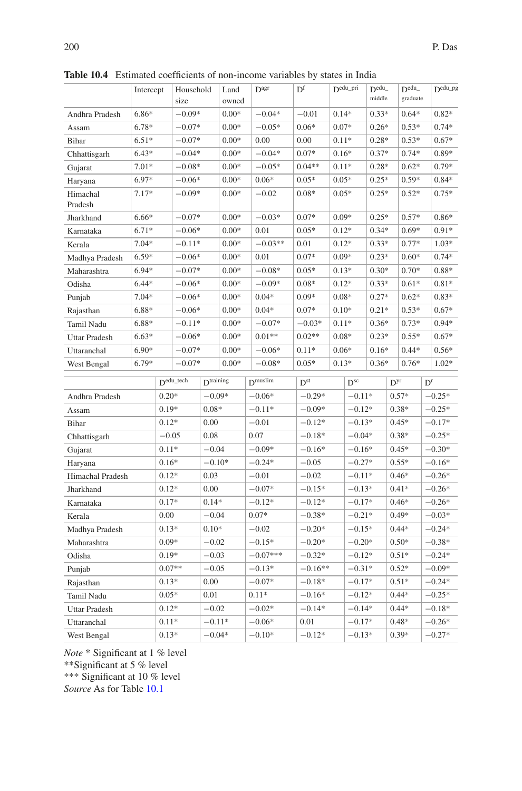|                             | Intercept |         | Household<br>size |                | Land<br>owned       |                      | Dagr                |           | $\mathbf{D}^\mathrm{f}$ | Dedu_pri |          | $D$ edu_<br>middle |          | $D$ edu_<br>graduate |          | $D$ edu_pg |  |
|-----------------------------|-----------|---------|-------------------|----------------|---------------------|----------------------|---------------------|-----------|-------------------------|----------|----------|--------------------|----------|----------------------|----------|------------|--|
| Andhra Pradesh              | $6.86*$   |         | $-0.09*$          |                | $0.00*$             |                      | $-0.04*$            |           | $-0.01$                 |          | $0.14*$  | $0.33*$            |          | $0.64*$              |          | $0.82*$    |  |
| Assam                       | $6.78*$   |         | $-0.07*$          |                | $0.00*$             |                      | $-0.05*$            |           | $0.06*$<br>$0.07*$      |          |          | $0.26*$            |          | $0.53*$              |          | $0.74*$    |  |
| Bihar                       | $6.51*$   |         | $-0.07*$          |                | $0.00*$             |                      | 0.00                |           | 0.00                    | $0.11*$  |          | $0.28*$            |          | $0.53*$              |          | $0.67*$    |  |
| Chhattisgarh                | $6.43*$   |         | $-0.04*$          |                | $0.00*$             |                      | $-0.04*$            |           | $0.07*$                 | $0.16*$  |          | $0.37*$            |          | $0.74*$              |          | $0.89*$    |  |
| Gujarat                     | $7.01*$   |         | $-0.08*$          |                | $0.00*$             |                      | $-0.05*$            |           | $0.04**$                | $0.11*$  |          | $0.28*$            |          | $0.62*$              |          | $0.79*$    |  |
| Haryana                     | $6.97*$   |         | $-0.06*$          |                | $0.00*$             |                      | $0.06*$             |           | $0.05*$                 | $0.05*$  |          | $0.25*$            |          | $0.59*$              |          | $0.84*$    |  |
| Himachal                    | $7.17*$   |         | $-0.09*$          |                | $0.00*$             |                      | $-0.02$             |           | $0.08*$                 |          | $0.05*$  |                    | $0.25*$  |                      |          | $0.75*$    |  |
| Pradesh                     |           |         |                   |                |                     |                      |                     |           |                         |          |          |                    |          |                      |          |            |  |
| Jharkhand                   | $6.66*$   |         | $-0.07*$          |                | $0.00*$             |                      | $-0.03*$            |           | $0.07*$                 | $0.09*$  |          | $0.25*$            |          | $0.57*$              |          | $0.86*$    |  |
| Karnataka                   | $6.71*$   |         | $-0.06*$          |                | $0.00*$             |                      | 0.01                |           | $0.05*$                 | $0.12*$  |          | $0.34*$            |          | $0.69*$              |          | $0.91*$    |  |
| Kerala                      | $7.04*$   |         | $-0.11*$          |                | $0.00*$             |                      | $-0.03**$           |           | 0.01                    | $0.12*$  |          | $0.33*$            |          | $0.77*$              |          | $1.03*$    |  |
| Madhya Pradesh              | $6.59*$   |         | $-0.06*$          |                | $0.00*$             |                      | 0.01                |           | $0.07*$                 | $0.09*$  |          | $0.23*$            |          | $0.60\mathrm{*}$     |          | $0.74*$    |  |
| Maharashtra                 | 6.94*     |         | $-0.07*$          |                | $0.00*$             |                      | $-0.08*$            |           | $0.05*$                 |          | $0.13*$  |                    | $0.30*$  |                      |          | $0.88*$    |  |
| Odisha                      | $6.44*$   |         | $-0.06*$          |                | $0.00*$             |                      | $-0.09*$            |           | $0.08*$                 | $0.12*$  |          | $0.33*$            |          | $0.61*$              |          | $0.81*$    |  |
| Punjab                      | $7.04*$   |         | $-0.06*$          |                | $0.00*$             |                      | $0.04*$             |           | $0.09*$                 |          | $0.08*$  |                    | $0.27*$  |                      |          | $0.83*$    |  |
| Rajasthan                   | 6.88*     |         | $-0.06*$          |                | $0.00*$             |                      | $0.04*$             |           | $0.07*$                 | $0.10*$  |          | $0.21*$            |          | $0.53*$              |          | $0.67*$    |  |
| Tamil Nadu                  | $6.88*$   |         | $-0.11*$          |                | $0.00*$             |                      | $-0.07*$            |           | $-0.03*$                |          | $0.11*$  |                    | $0.36*$  |                      |          | $0.94*$    |  |
| <b>Uttar Pradesh</b>        | $6.63*$   |         | $-0.06*$          |                | $0.00*$             |                      | $0.01**$            |           | $0.02**$<br>$0.08*$     |          | $0.23*$  |                    | $0.55*$  |                      | $0.67*$  |            |  |
| Uttaranchal                 | $6.90*$   |         | $-0.07*$          |                | $0.00*$             |                      | $-0.06*$            |           | $0.11*$                 | $0.06*$  |          | $0.16*$            |          | $0.44*$              |          | $0.56*$    |  |
| West Bengal                 | $6.79*$   |         | $-0.07*$          |                | $0.00*$             |                      | $-0.08*$            |           | $0.05*$                 | $0.13*$  |          | $0.36*$            |          | $0.76*$              |          | $1.02*$    |  |
|                             |           |         | $Dedu_tech$       | $D^{training}$ |                     |                      | D <sub>muslim</sub> |           | $D^{st}$                | $D^{sc}$ |          | $D^{yr}$           |          |                      |          | $D^{r}$    |  |
| Andhra Pradesh              |           |         | $0.20*$           |                | $-0.09*$            |                      | $-0.06*$            |           | $-0.29*$                |          | $-0.11*$ |                    |          | $0.57*$              | $-0.25*$ |            |  |
| Assam                       |           | $0.19*$ |                   | $0.08*$        |                     |                      | $-0.11*$            |           | $-0.09*$                |          | $-0.12*$ |                    |          | $0.38*$              | $-0.25*$ |            |  |
| Bihar                       |           | $0.12*$ |                   | 0.00           |                     |                      | $-0.01$             |           | $-0.12*$                |          | $-0.13*$ |                    | $0.45*$  |                      | $-0.17*$ |            |  |
| Chhattisgarh                |           |         | $-0.05$<br>0.08   |                |                     |                      | 0.07                |           | $-0.18*$                |          | $-0.04*$ |                    | $0.38*$  |                      | $-0.25*$ |            |  |
| Gujarat                     |           | $0.11*$ | $-0.04$           |                |                     |                      | $-0.09*$            |           | $-0.16*$                |          | $-0.16*$ |                    | $0.45*$  |                      | $-0.30*$ |            |  |
| Haryana                     |           | $0.16*$ |                   | $-0.10*$       |                     |                      | $-0.24*$            |           | $-0.05$                 |          | $-0.27*$ |                    | $0.55*$  |                      | $-0.16*$ |            |  |
| $0.12*$<br>Himachal Pradesh |           | 0.03    |                   |                | $-0.01$<br>$-0.02$  |                      | $-0.11*$            |           |                         |          | $0.46*$  |                    | $-0.26*$ |                      |          |            |  |
| $0.12*$<br>Jharkhand        |           |         | 0.00              |                |                     | $-0.07*$<br>$-0.15*$ |                     | $-0.13*$  |                         |          |          | $0.41*$            |          | $-0.26*$             |          |            |  |
| Karnataka                   | $0.17*$   |         | $0.14*$           |                |                     | $-0.12*$<br>$-0.12*$ |                     | $-0.17*$  |                         | $0.46*$  |          |                    | $-0.26*$ |                      |          |            |  |
| Kerala                      | 0.00      |         | $-0.04$           |                |                     | $0.07*$<br>$-0.38*$  |                     | $-0.21*$  |                         |          | $0.49*$  |                    | $-0.03*$ |                      |          |            |  |
| $0.13*$<br>Madhya Pradesh   |           | $0.10*$ |                   |                | $-0.20*$<br>$-0.02$ |                      | $-0.15*$            |           | $0.44*$                 |          | $-0.24*$ |                    |          |                      |          |            |  |
| $0.09*$<br>Maharashtra      |           |         | $-0.02$           |                |                     | $-0.15*$             |                     | $-0.20*$  |                         | $-0.20*$ |          | $0.50*$            |          | $-0.38*$             |          |            |  |
| $0.19*$<br>Odisha           |           |         | $-0.03$           |                |                     | $-0.07***$           |                     | $-0.32*$  |                         | $-0.12*$ |          | $0.51*$            |          | $-0.24*$             |          |            |  |
| $0.07**$<br>Punjab          |           |         | $-0.05$           |                |                     | $-0.13*$             |                     | $-0.16**$ |                         | $-0.31*$ |          | $0.52*$            |          | $-0.09*$             |          |            |  |
| Rajasthan                   | $0.13*$   |         | 0.00              |                |                     | $-0.07*$             |                     | $-0.18*$  |                         | $-0.17*$ |          | $0.51*$            |          | $-0.24*$             |          |            |  |
| $0.05*$<br>Tamil Nadu       |           | 0.01    |                   |                | $0.11*$             |                      | $-0.16*$            |           | $-0.12*$                |          | $0.44*$  |                    | $-0.25*$ |                      |          |            |  |
| <b>Uttar Pradesh</b>        | $0.12*$   |         |                   | $-0.02$        |                     | $-0.02*$             |                     | $-0.14*$  |                         | $-0.14*$ |          | $0.44*$            |          | $-0.18*$             |          |            |  |
| Uttaranchal                 |           | $0.11*$ |                   |                | $-0.11*$            |                      | $-0.06*$            |           | 0.01                    |          | $-0.17*$ |                    | $0.48*$  |                      | $-0.26*$ |            |  |
| West Bengal                 |           | $0.13*$ |                   | $-0.04*$       |                     |                      | $-0.10*$            |           | $-0.12*$                |          | $-0.13*$ |                    |          | $0.39*$              |          | $-0.27*$   |  |

<span id="page-13-0"></span>**Table 10.4** Estimated coefficients of non-income variables by states in India

*Note* \* Significant at 1 % level

\*\*Significant at 5 % level

\*\*\* Significant at 10 % level

*Source* As for Table [10.1](#page-7-0)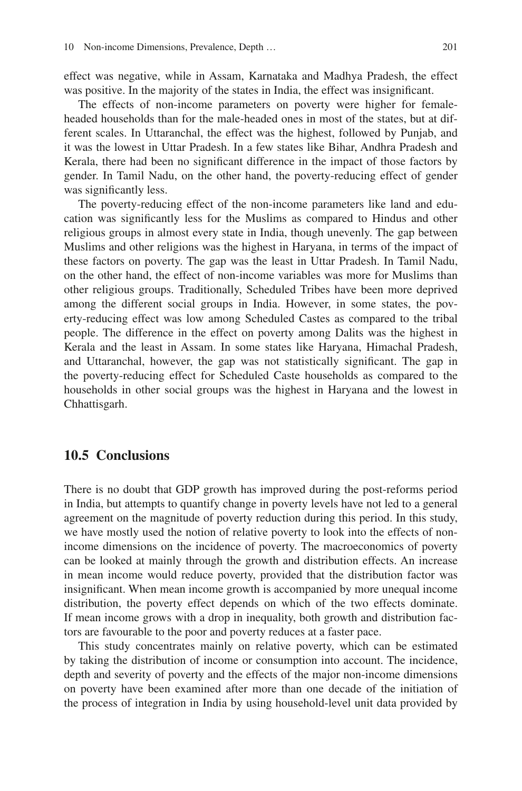effect was negative, while in Assam, Karnataka and Madhya Pradesh, the effect was positive. In the majority of the states in India, the effect was insignificant.

The effects of non-income parameters on poverty were higher for femaleheaded households than for the male-headed ones in most of the states, but at different scales. In Uttaranchal, the effect was the highest, followed by Punjab, and it was the lowest in Uttar Pradesh. In a few states like Bihar, Andhra Pradesh and Kerala, there had been no significant difference in the impact of those factors by gender. In Tamil Nadu, on the other hand, the poverty-reducing effect of gender was significantly less.

The poverty-reducing effect of the non-income parameters like land and education was significantly less for the Muslims as compared to Hindus and other religious groups in almost every state in India, though unevenly. The gap between Muslims and other religions was the highest in Haryana, in terms of the impact of these factors on poverty. The gap was the least in Uttar Pradesh. In Tamil Nadu, on the other hand, the effect of non-income variables was more for Muslims than other religious groups. Traditionally, Scheduled Tribes have been more deprived among the different social groups in India. However, in some states, the poverty-reducing effect was low among Scheduled Castes as compared to the tribal people. The difference in the effect on poverty among Dalits was the highest in Kerala and the least in Assam. In some states like Haryana, Himachal Pradesh, and Uttaranchal, however, the gap was not statistically significant. The gap in the poverty-reducing effect for Scheduled Caste households as compared to the households in other social groups was the highest in Haryana and the lowest in Chhattisgarh.

# **10.5 Conclusions**

There is no doubt that GDP growth has improved during the post-reforms period in India, but attempts to quantify change in poverty levels have not led to a general agreement on the magnitude of poverty reduction during this period. In this study, we have mostly used the notion of relative poverty to look into the effects of nonincome dimensions on the incidence of poverty. The macroeconomics of poverty can be looked at mainly through the growth and distribution effects. An increase in mean income would reduce poverty, provided that the distribution factor was insignificant. When mean income growth is accompanied by more unequal income distribution, the poverty effect depends on which of the two effects dominate. If mean income grows with a drop in inequality, both growth and distribution factors are favourable to the poor and poverty reduces at a faster pace.

This study concentrates mainly on relative poverty, which can be estimated by taking the distribution of income or consumption into account. The incidence, depth and severity of poverty and the effects of the major non-income dimensions on poverty have been examined after more than one decade of the initiation of the process of integration in India by using household-level unit data provided by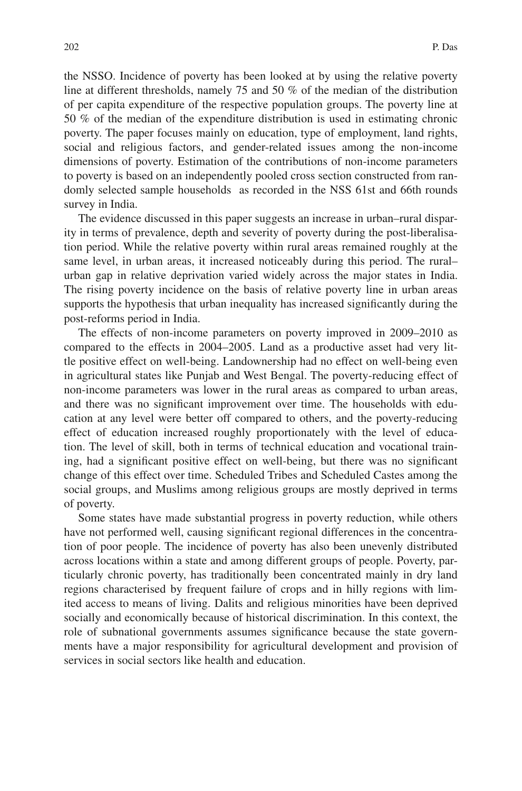the NSSO. Incidence of poverty has been looked at by using the relative poverty line at different thresholds, namely 75 and 50 % of the median of the distribution of per capita expenditure of the respective population groups. The poverty line at 50 % of the median of the expenditure distribution is used in estimating chronic poverty. The paper focuses mainly on education, type of employment, land rights, social and religious factors, and gender-related issues among the non-income dimensions of poverty. Estimation of the contributions of non-income parameters to poverty is based on an independently pooled cross section constructed from randomly selected sample households as recorded in the NSS 61st and 66th rounds survey in India.

The evidence discussed in this paper suggests an increase in urban–rural disparity in terms of prevalence, depth and severity of poverty during the post-liberalisation period. While the relative poverty within rural areas remained roughly at the same level, in urban areas, it increased noticeably during this period. The rural– urban gap in relative deprivation varied widely across the major states in India. The rising poverty incidence on the basis of relative poverty line in urban areas supports the hypothesis that urban inequality has increased significantly during the post-reforms period in India.

The effects of non-income parameters on poverty improved in 2009–2010 as compared to the effects in 2004–2005. Land as a productive asset had very little positive effect on well-being. Landownership had no effect on well-being even in agricultural states like Punjab and West Bengal. The poverty-reducing effect of non-income parameters was lower in the rural areas as compared to urban areas, and there was no significant improvement over time. The households with education at any level were better off compared to others, and the poverty-reducing effect of education increased roughly proportionately with the level of education. The level of skill, both in terms of technical education and vocational training, had a significant positive effect on well-being, but there was no significant change of this effect over time. Scheduled Tribes and Scheduled Castes among the social groups, and Muslims among religious groups are mostly deprived in terms of poverty.

Some states have made substantial progress in poverty reduction, while others have not performed well, causing significant regional differences in the concentration of poor people. The incidence of poverty has also been unevenly distributed across locations within a state and among different groups of people. Poverty, particularly chronic poverty, has traditionally been concentrated mainly in dry land regions characterised by frequent failure of crops and in hilly regions with limited access to means of living. Dalits and religious minorities have been deprived socially and economically because of historical discrimination. In this context, the role of subnational governments assumes significance because the state governments have a major responsibility for agricultural development and provision of services in social sectors like health and education.